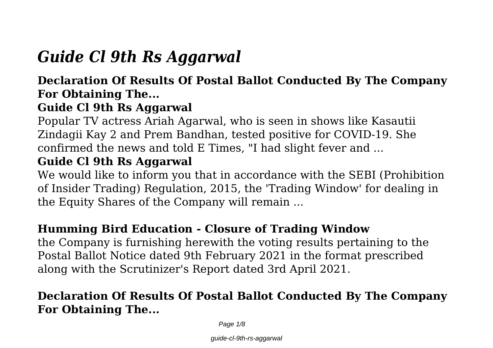# *Guide Cl 9th Rs Aggarwal*

### **Declaration Of Results Of Postal Ballot Conducted By The Company For Obtaining The...**

# **Guide Cl 9th Rs Aggarwal**

Popular TV actress Ariah Agarwal, who is seen in shows like Kasautii Zindagii Kay 2 and Prem Bandhan, tested positive for COVID-19. She confirmed the news and told E Times, "I had slight fever and ...

## **Guide Cl 9th Rs Aggarwal**

We would like to inform you that in accordance with the SEBI (Prohibition of Insider Trading) Regulation, 2015, the 'Trading Window' for dealing in the Equity Shares of the Company will remain ...

# **Humming Bird Education - Closure of Trading Window**

the Company is furnishing herewith the voting results pertaining to the Postal Ballot Notice dated 9th February 2021 in the format prescribed along with the Scrutinizer's Report dated 3rd April 2021.

# **Declaration Of Results Of Postal Ballot Conducted By The Company For Obtaining The...**

Page  $1/8$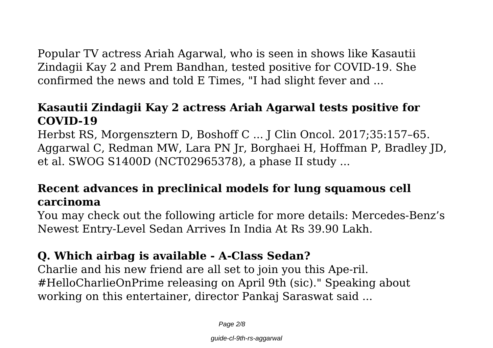Popular TV actress Ariah Agarwal, who is seen in shows like Kasautii Zindagii Kay 2 and Prem Bandhan, tested positive for COVID-19. She confirmed the news and told E Times, "I had slight fever and ...

#### **Kasautii Zindagii Kay 2 actress Ariah Agarwal tests positive for COVID-19**

Herbst RS, Morgensztern D, Boshoff C ... J Clin Oncol. 2017;35:157–65. Aggarwal C, Redman MW, Lara PN Jr, Borghaei H, Hoffman P, Bradley JD, et al. SWOG S1400D (NCT02965378), a phase II study ...

### **Recent advances in preclinical models for lung squamous cell carcinoma**

You may check out the following article for more details: Mercedes-Benz's Newest Entry-Level Sedan Arrives In India At Rs 39.90 Lakh.

### **Q. Which airbag is available - A-Class Sedan?**

Charlie and his new friend are all set to join you this Ape-ril. #HelloCharlieOnPrime releasing on April 9th (sic)." Speaking about working on this entertainer, director Pankaj Saraswat said ...

Page 2/8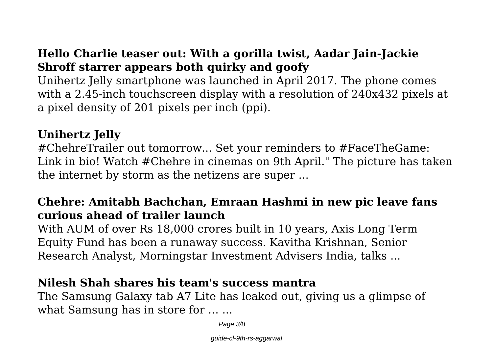### **Hello Charlie teaser out: With a gorilla twist, Aadar Jain-Jackie Shroff starrer appears both quirky and goofy**

Unihertz Jelly smartphone was launched in April 2017. The phone comes with a 2.45-inch touchscreen display with a resolution of 240x432 pixels at a pixel density of 201 pixels per inch (ppi).

#### **Unihertz Jelly**

#ChehreTrailer out tomorrow... Set your reminders to #FaceTheGame: Link in bio! Watch #Chehre in cinemas on 9th April." The picture has taken the internet by storm as the netizens are super ...

### **Chehre: Amitabh Bachchan, Emraan Hashmi in new pic leave fans curious ahead of trailer launch**

With AUM of over Rs 18,000 crores built in 10 years, Axis Long Term Equity Fund has been a runaway success. Kavitha Krishnan, Senior Research Analyst, Morningstar Investment Advisers India, talks ...

#### **Nilesh Shah shares his team's success mantra**

The Samsung Galaxy tab A7 Lite has leaked out, giving us a glimpse of what Samsung has in store for ... ...

Page 3/8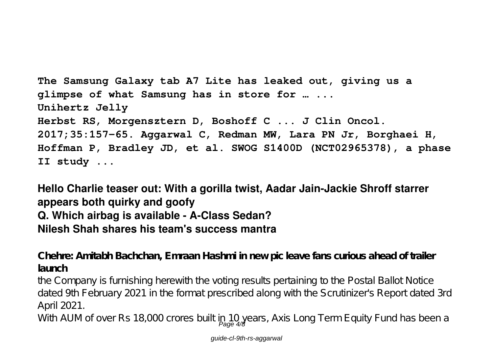```
The Samsung Galaxy tab A7 Lite has leaked out, giving us a
glimpse of what Samsung has in store for … ...
Unihertz Jelly
Herbst RS, Morgensztern D, Boshoff C ... J Clin Oncol.
2017;35:157–65. Aggarwal C, Redman MW, Lara PN Jr, Borghaei H,
Hoffman P, Bradley JD, et al. SWOG S1400D (NCT02965378), a phase
II study ...
```
**Hello Charlie teaser out: With a gorilla twist, Aadar Jain-Jackie Shroff starrer appears both quirky and goofy Q. Which airbag is available - A-Class Sedan? Nilesh Shah shares his team's success mantra**

**Chehre: Amitabh Bachchan, Emraan Hashmi in new pic leave fans curious ahead of trailer launch**

the Company is furnishing herewith the voting results pertaining to the Postal Ballot Notice dated 9th February 2021 in the format prescribed along with the Scrutinizer's Report dated 3rd April 2021.

With AUM of over Rs 18,000 crores built in 10 years, Axis Long Term Equity Fund has been a<br>Page 4/8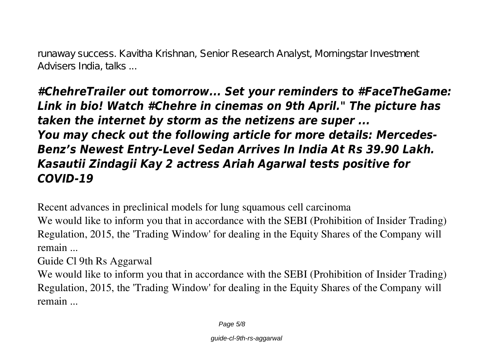runaway success. Kavitha Krishnan, Senior Research Analyst, Morningstar Investment Advisers India, talks ...

*#ChehreTrailer out tomorrow... Set your reminders to #FaceTheGame: Link in bio! Watch #Chehre in cinemas on 9th April." The picture has taken the internet by storm as the netizens are super ... You may check out the following article for more details: Mercedes-Benz's Newest Entry-Level Sedan Arrives In India At Rs 39.90 Lakh. Kasautii Zindagii Kay 2 actress Ariah Agarwal tests positive for COVID-19*

**Recent advances in preclinical models for lung squamous cell carcinoma**

We would like to inform you that in accordance with the SEBI (Prohibition of Insider Trading) Regulation, 2015, the 'Trading Window' for dealing in the Equity Shares of the Company will remain ...

**Guide Cl 9th Rs Aggarwal**

We would like to inform you that in accordance with the SEBI (Prohibition of Insider Trading) Regulation, 2015, the 'Trading Window' for dealing in the Equity Shares of the Company will remain ...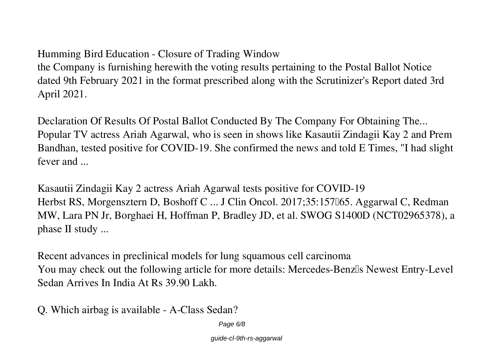#### **Humming Bird Education - Closure of Trading Window**

the Company is furnishing herewith the voting results pertaining to the Postal Ballot Notice dated 9th February 2021 in the format prescribed along with the Scrutinizer's Report dated 3rd April 2021.

**Declaration Of Results Of Postal Ballot Conducted By The Company For Obtaining The...** Popular TV actress Ariah Agarwal, who is seen in shows like Kasautii Zindagii Kay 2 and Prem Bandhan, tested positive for COVID-19. She confirmed the news and told E Times, "I had slight fever and ...

**Kasautii Zindagii Kay 2 actress Ariah Agarwal tests positive for COVID-19** Herbst RS, Morgensztern D, Boshoff C ... J Clin Oncol. 2017;35:157065. Aggarwal C, Redman MW, Lara PN Jr, Borghaei H, Hoffman P, Bradley JD, et al. SWOG S1400D (NCT02965378), a phase II study ...

**Recent advances in preclinical models for lung squamous cell carcinoma** You may check out the following article for more details: Mercedes-Benzlls Newest Entry-Level Sedan Arrives In India At Rs 39.90 Lakh.

**Q. Which airbag is available - A-Class Sedan?**

Page 6/8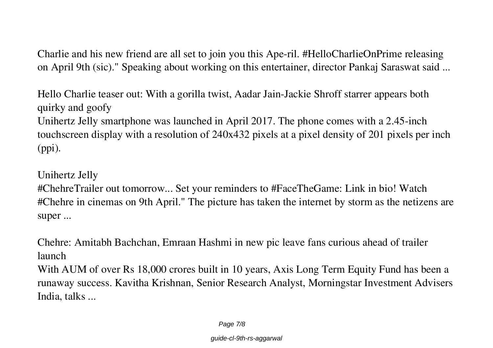Charlie and his new friend are all set to join you this Ape-ril. #HelloCharlieOnPrime releasing on April 9th (sic)." Speaking about working on this entertainer, director Pankaj Saraswat said ...

**Hello Charlie teaser out: With a gorilla twist, Aadar Jain-Jackie Shroff starrer appears both quirky and goofy**

Unihertz Jelly smartphone was launched in April 2017. The phone comes with a 2.45-inch touchscreen display with a resolution of 240x432 pixels at a pixel density of 201 pixels per inch (ppi).

**Unihertz Jelly**

#ChehreTrailer out tomorrow... Set your reminders to #FaceTheGame: Link in bio! Watch #Chehre in cinemas on 9th April." The picture has taken the internet by storm as the netizens are super ...

**Chehre: Amitabh Bachchan, Emraan Hashmi in new pic leave fans curious ahead of trailer launch**

With AUM of over Rs 18,000 crores built in 10 years, Axis Long Term Equity Fund has been a runaway success. Kavitha Krishnan, Senior Research Analyst, Morningstar Investment Advisers India, talks ...